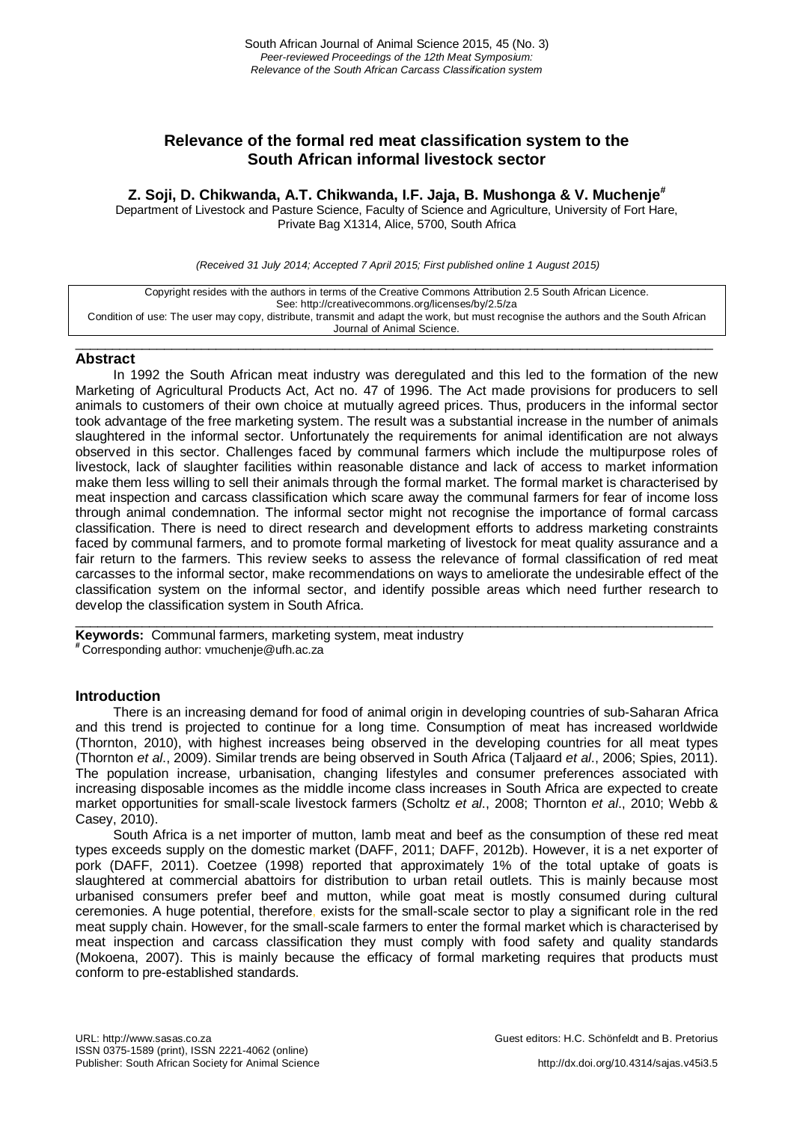# **Relevance of the formal red meat classification system to the South African informal livestock sector**

# **Z. Soji, D. Chikwanda, A.T. Chikwanda, I.F. Jaja, B. Mushonga & V. Muchenje#**

Department of Livestock and Pasture Science, Faculty of Science and Agriculture, University of Fort Hare, Private Bag X1314, Alice, 5700, South Africa

*(Received 31 July 2014; Accepted 7 April 2015; First published online 1 August 2015)*

Copyright resides with the authors in terms of the Creative Commons Attribution 2.5 South African Licence. See: http://creativecommons.org/licenses/by/2.5/za Condition of use: The user may copy, distribute, transmit and adapt the work, but must recognise the authors and the South African Journal of Animal Science.

### $\_$  , and the set of the set of the set of the set of the set of the set of the set of the set of the set of the set of the set of the set of the set of the set of the set of the set of the set of the set of the set of th **Abstract**

In 1992 the South African meat industry was deregulated and this led to the formation of the new Marketing of Agricultural Products Act, Act no. 47 of 1996. The Act made provisions for producers to sell animals to customers of their own choice at mutually agreed prices. Thus, producers in the informal sector took advantage of the free marketing system. The result was a substantial increase in the number of animals slaughtered in the informal sector. Unfortunately the requirements for animal identification are not always observed in this sector. Challenges faced by communal farmers which include the multipurpose roles of livestock, lack of slaughter facilities within reasonable distance and lack of access to market information make them less willing to sell their animals through the formal market. The formal market is characterised by meat inspection and carcass classification which scare away the communal farmers for fear of income loss through animal condemnation. The informal sector might not recognise the importance of formal carcass classification. There is need to direct research and development efforts to address marketing constraints faced by communal farmers, and to promote formal marketing of livestock for meat quality assurance and a fair return to the farmers. This review seeks to assess the relevance of formal classification of red meat carcasses to the informal sector, make recommendations on ways to ameliorate the undesirable effect of the classification system on the informal sector, and identify possible areas which need further research to develop the classification system in South Africa.

 $\_$  , and the set of the set of the set of the set of the set of the set of the set of the set of the set of the set of the set of the set of the set of the set of the set of the set of the set of the set of the set of th

**Keywords:** Communal farmers, marketing system, meat industry **#** Corresponding author: [vmuchenje@ufh.ac.za](mailto:vmuchenje@ufh.ac.za)

# **Introduction**

There is an increasing demand for food of animal origin in developing countries of sub-Saharan Africa and this trend is projected to continue for a long time. Consumption of meat has increased worldwide (Thornton, 2010), with highest increases being observed in the developing countries for all meat types (Thornton *et al*., 2009). Similar trends are being observed in South Africa (Taljaard *et al*., 2006; Spies, 2011). The population increase, urbanisation, changing lifestyles and consumer preferences associated with increasing disposable incomes as the middle income class increases in South Africa are expected to create market opportunities for small-scale livestock farmers (Scholtz *et al*., 2008; Thornton *et al*., 2010; Webb & Casey, 2010).

South Africa is a net importer of mutton, lamb meat and beef as the consumption of these red meat types exceeds supply on the domestic market (DAFF, 2011; DAFF, 2012b). However, it is a net exporter of pork (DAFF, 2011). Coetzee (1998) reported that approximately 1% of the total uptake of goats is slaughtered at commercial abattoirs for distribution to urban retail outlets. This is mainly because most urbanised consumers prefer beef and mutton, while goat meat is mostly consumed during cultural ceremonies. A huge potential, therefore, exists for the small-scale sector to play a significant role in the red meat supply chain. However, for the small-scale farmers to enter the formal market which is characterised by meat inspection and carcass classification they must comply with food safety and quality standards (Mokoena, 2007). This is mainly because the efficacy of formal marketing requires that products must conform to pre-established standards.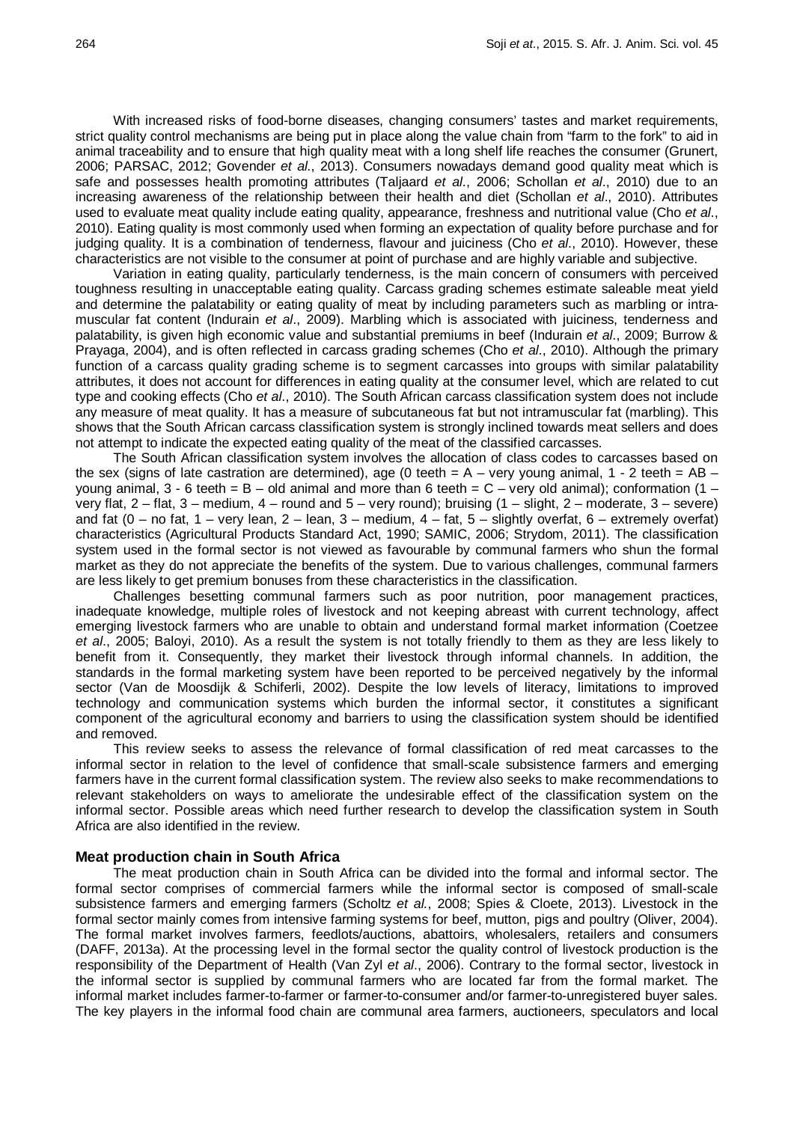With increased risks of food-borne diseases, changing consumers' tastes and market requirements, strict quality control mechanisms are being put in place along the value chain from "farm to the fork" to aid in animal traceability and to ensure that high quality meat with a long shelf life reaches the consumer (Grunert, 2006; PARSAC, 2012; Govender *et al.*, 2013). Consumers nowadays demand good quality meat which is safe and possesses health promoting attributes (Taljaard *et al*., 2006; Schollan *et al*., 2010) due to an increasing awareness of the relationship between their health and diet (Schollan *et al*., 2010). Attributes used to evaluate meat quality include eating quality, appearance, freshness and nutritional value (Cho *et al*., 2010). Eating quality is most commonly used when forming an expectation of quality before purchase and for judging quality. It is a combination of tenderness, flavour and juiciness (Cho *et al*., 2010). However, these characteristics are not visible to the consumer at point of purchase and are highly variable and subjective.

Variation in eating quality, particularly tenderness, is the main concern of consumers with perceived toughness resulting in unacceptable eating quality. Carcass grading schemes estimate saleable meat yield and determine the palatability or eating quality of meat by including parameters such as marbling or intramuscular fat content (Indurain *et al*., 2009). Marbling which is associated with juiciness, tenderness and palatability, is given high economic value and substantial premiums in beef (Indurain *et al*., 2009; Burrow & Prayaga, 2004), and is often reflected in carcass grading schemes (Cho *et al*., 2010). Although the primary function of a carcass quality grading scheme is to segment carcasses into groups with similar palatability attributes, it does not account for differences in eating quality at the consumer level, which are related to cut type and cooking effects (Cho *et al*., 2010). The South African carcass classification system does not include any measure of meat quality. It has a measure of subcutaneous fat but not intramuscular fat (marbling). This shows that the South African carcass classification system is strongly inclined towards meat sellers and does not attempt to indicate the expected eating quality of the meat of the classified carcasses.

The South African classification system involves the allocation of class codes to carcasses based on the sex (signs of late castration are determined), age (0 teeth =  $A -$  very young animal, 1 - 2 teeth =  $AB$ young animal,  $3 - 6$  teeth = B – old animal and more than 6 teeth = C – very old animal); conformation (1 – very flat, 2 – flat, 3 – medium, 4 – round and 5 – very round); bruising (1 – slight, 2 – moderate, 3 – severe) and fat (0 – no fat, 1 – very lean, 2 – lean, 3 – medium, 4 – fat, 5 – slightly overfat, 6 – extremely overfat) characteristics (Agricultural Products Standard Act, 1990; SAMIC, 2006; Strydom, 2011). The classification system used in the formal sector is not viewed as favourable by communal farmers who shun the formal market as they do not appreciate the benefits of the system. Due to various challenges, communal farmers are less likely to get premium bonuses from these characteristics in the classification.

Challenges besetting communal farmers such as poor nutrition, poor management practices, inadequate knowledge, multiple roles of livestock and not keeping abreast with current technology, affect emerging livestock farmers who are unable to obtain and understand formal market information (Coetzee *et al*., 2005; Baloyi, 2010). As a result the system is not totally friendly to them as they are less likely to benefit from it. Consequently, they market their livestock through informal channels. In addition, the standards in the formal marketing system have been reported to be perceived negatively by the informal sector (Van de Moosdijk & Schiferli, 2002). Despite the low levels of literacy, limitations to improved technology and communication systems which burden the informal sector, it constitutes a significant component of the agricultural economy and barriers to using the classification system should be identified and removed.

This review seeks to assess the relevance of formal classification of red meat carcasses to the informal sector in relation to the level of confidence that small-scale subsistence farmers and emerging farmers have in the current formal classification system. The review also seeks to make recommendations to relevant stakeholders on ways to ameliorate the undesirable effect of the classification system on the informal sector. Possible areas which need further research to develop the classification system in South Africa are also identified in the review.

## **Meat production chain in South Africa**

The meat production chain in South Africa can be divided into the formal and informal sector. The formal sector comprises of commercial farmers while the informal sector is composed of small-scale subsistence farmers and emerging farmers (Scholtz *et al.*, 2008; Spies & Cloete, 2013). Livestock in the formal sector mainly comes from intensive farming systems for beef, mutton, pigs and poultry (Oliver, 2004). The formal market involves farmers, feedlots/auctions, abattoirs, wholesalers, retailers and consumers (DAFF, 2013a). At the processing level in the formal sector the quality control of livestock production is the responsibility of the Department of Health (Van Zyl *et al*., 2006). Contrary to the formal sector, livestock in the informal sector is supplied by communal farmers who are located far from the formal market. The informal market includes farmer-to-farmer or farmer-to-consumer and/or farmer-to-unregistered buyer sales. The key players in the informal food chain are communal area farmers, auctioneers, speculators and local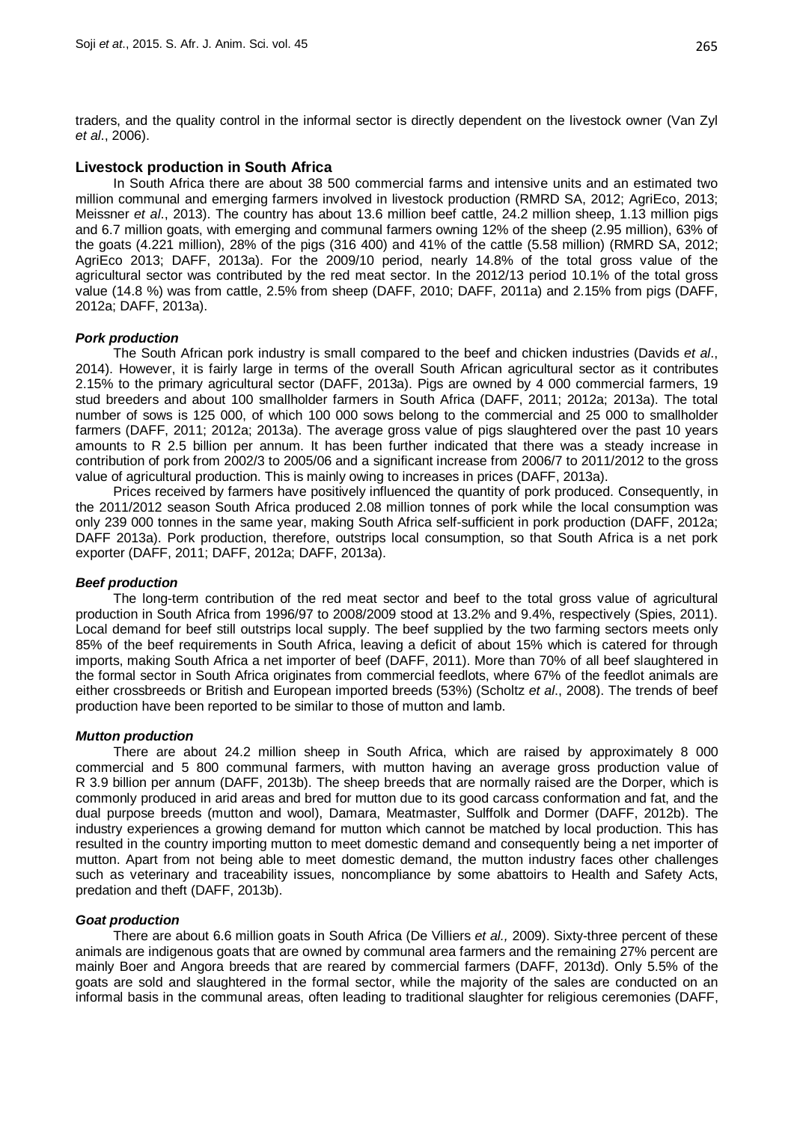traders, and the quality control in the informal sector is directly dependent on the livestock owner (Van Zyl *et al*., 2006).

## **Livestock production in South Africa**

In South Africa there are about 38 500 commercial farms and intensive units and an estimated two million communal and emerging farmers involved in livestock production (RMRD SA, 2012; AgriEco, 2013; Meissner *et al*., 2013). The country has about 13.6 million beef cattle, 24.2 million sheep, 1.13 million pigs and 6.7 million goats, with emerging and communal farmers owning 12% of the sheep (2.95 million), 63% of the goats (4.221 million), 28% of the pigs (316 400) and 41% of the cattle (5.58 million) (RMRD SA, 2012; AgriEco 2013; DAFF, 2013a). For the 2009/10 period, nearly 14.8% of the total gross value of the agricultural sector was contributed by the red meat sector. In the 2012/13 period 10.1% of the total gross value (14.8 %) was from cattle, 2.5% from sheep (DAFF, 2010; DAFF, 2011a) and 2.15% from pigs (DAFF, 2012a; DAFF, 2013a).

## *Pork production*

The South African pork industry is small compared to the beef and chicken industries (Davids *et al*., 2014). However, it is fairly large in terms of the overall South African agricultural sector as it contributes 2.15% to the primary agricultural sector (DAFF, 2013a). Pigs are owned by 4 000 commercial farmers, 19 stud breeders and about 100 smallholder farmers in South Africa (DAFF, 2011; 2012a; 2013a). The total number of sows is 125 000, of which 100 000 sows belong to the commercial and 25 000 to smallholder farmers (DAFF, 2011; 2012a; 2013a). The average gross value of pigs slaughtered over the past 10 years amounts to R 2.5 billion per annum. It has been further indicated that there was a steady increase in contribution of pork from 2002/3 to 2005/06 and a significant increase from 2006/7 to 2011/2012 to the gross value of agricultural production. This is mainly owing to increases in prices (DAFF, 2013a).

Prices received by farmers have positively influenced the quantity of pork produced. Consequently, in the 2011/2012 season South Africa produced 2.08 million tonnes of pork while the local consumption was only 239 000 tonnes in the same year, making South Africa self-sufficient in pork production (DAFF, 2012a; DAFF 2013a). Pork production, therefore, outstrips local consumption, so that South Africa is a net pork exporter (DAFF, 2011; DAFF, 2012a; DAFF, 2013a).

#### *Beef production*

The long-term contribution of the red meat sector and beef to the total gross value of agricultural production in South Africa from 1996/97 to 2008/2009 stood at 13.2% and 9.4%, respectively (Spies, 2011). Local demand for beef still outstrips local supply. The beef supplied by the two farming sectors meets only 85% of the beef requirements in South Africa, leaving a deficit of about 15% which is catered for through imports, making South Africa a net importer of beef (DAFF, 2011). More than 70% of all beef slaughtered in the formal sector in South Africa originates from commercial feedlots, where 67% of the feedlot animals are either crossbreeds or British and European imported breeds (53%) (Scholtz *et al*., 2008). The trends of beef production have been reported to be similar to those of mutton and lamb.

#### *Mutton production*

There are about 24.2 million sheep in South Africa, which are raised by approximately 8 000 commercial and 5 800 communal farmers, with mutton having an average gross production value of R 3.9 billion per annum (DAFF, 2013b). The sheep breeds that are normally raised are the Dorper, which is commonly produced in arid areas and bred for mutton due to its good carcass conformation and fat, and the dual purpose breeds (mutton and wool), Damara, Meatmaster, Sulffolk and Dormer (DAFF, 2012b). The industry experiences a growing demand for mutton which cannot be matched by local production. This has resulted in the country importing mutton to meet domestic demand and consequently being a net importer of mutton. Apart from not being able to meet domestic demand, the mutton industry faces other challenges such as veterinary and traceability issues, noncompliance by some abattoirs to Health and Safety Acts, predation and theft (DAFF, 2013b).

#### *Goat production*

There are about 6.6 million goats in South Africa (De Villiers *et al.,* 2009). Sixty-three percent of these animals are indigenous goats that are owned by communal area farmers and the remaining 27% percent are mainly Boer and Angora breeds that are reared by commercial farmers (DAFF, 2013d). Only 5.5% of the goats are sold and slaughtered in the formal sector, while the majority of the sales are conducted on an informal basis in the communal areas, often leading to traditional slaughter for religious ceremonies (DAFF,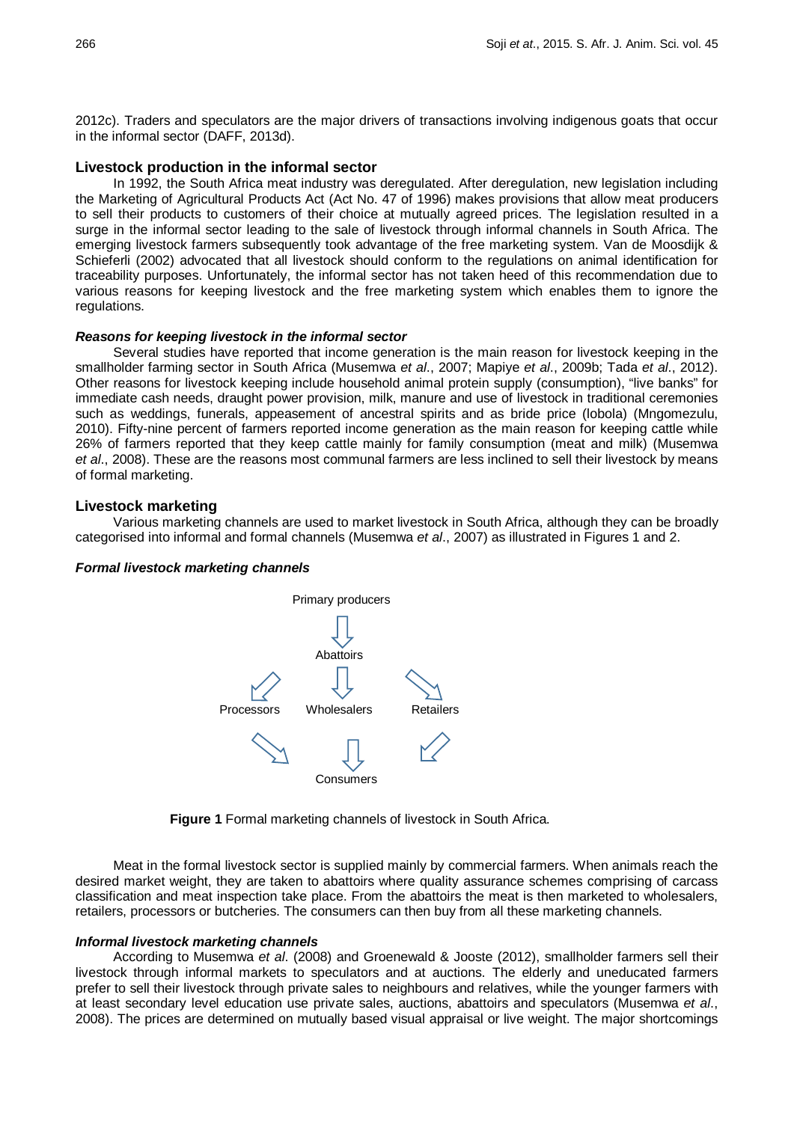2012c). Traders and speculators are the major drivers of transactions involving indigenous goats that occur in the informal sector (DAFF, 2013d).

## **Livestock production in the informal sector**

In 1992, the South Africa meat industry was deregulated. After deregulation, new legislation including the Marketing of Agricultural Products Act (Act No. 47 of 1996) makes provisions that allow meat producers to sell their products to customers of their choice at mutually agreed prices. The legislation resulted in a surge in the informal sector leading to the sale of livestock through informal channels in South Africa. The emerging livestock farmers subsequently took advantage of the free marketing system. Van de Moosdijk & Schieferli (2002) advocated that all livestock should conform to the regulations on animal identification for traceability purposes. Unfortunately, the informal sector has not taken heed of this recommendation due to various reasons for keeping livestock and the free marketing system which enables them to ignore the regulations.

## *Reasons for keeping livestock in the informal sector*

Several studies have reported that income generation is the main reason for livestock keeping in the smallholder farming sector in South Africa (Musemwa *et al*., 2007; Mapiye *et al*., 2009b; Tada *et al*., 2012). Other reasons for livestock keeping include household animal protein supply (consumption), "live banks" for immediate cash needs, draught power provision, milk, manure and use of livestock in traditional ceremonies such as weddings, funerals, appeasement of ancestral spirits and as bride price (lobola) (Mngomezulu, 2010). Fifty-nine percent of farmers reported income generation as the main reason for keeping cattle while 26% of farmers reported that they keep cattle mainly for family consumption (meat and milk) (Musemwa *et al*., 2008). These are the reasons most communal farmers are less inclined to sell their livestock by means of formal marketing.

### **Livestock marketing**

Various marketing channels are used to market livestock in South Africa, although they can be broadly categorised into informal and formal channels (Musemwa *et al*., 2007) as illustrated in Figures 1 and 2.

#### *Formal livestock marketing channels*



**Figure 1** Formal marketing channels of livestock in South Africa.

Meat in the formal livestock sector is supplied mainly by commercial farmers. When animals reach the desired market weight, they are taken to abattoirs where quality assurance schemes comprising of carcass classification and meat inspection take place. From the abattoirs the meat is then marketed to wholesalers, retailers, processors or butcheries. The consumers can then buy from all these marketing channels.

#### *Informal livestock marketing channels*

According to Musemwa *et al*. (2008) and Groenewald & Jooste (2012), smallholder farmers sell their livestock through informal markets to speculators and at auctions. The elderly and uneducated farmers prefer to sell their livestock through private sales to neighbours and relatives, while the younger farmers with at least secondary level education use private sales, auctions, abattoirs and speculators (Musemwa *et al*., 2008). The prices are determined on mutually based visual appraisal or live weight. The major shortcomings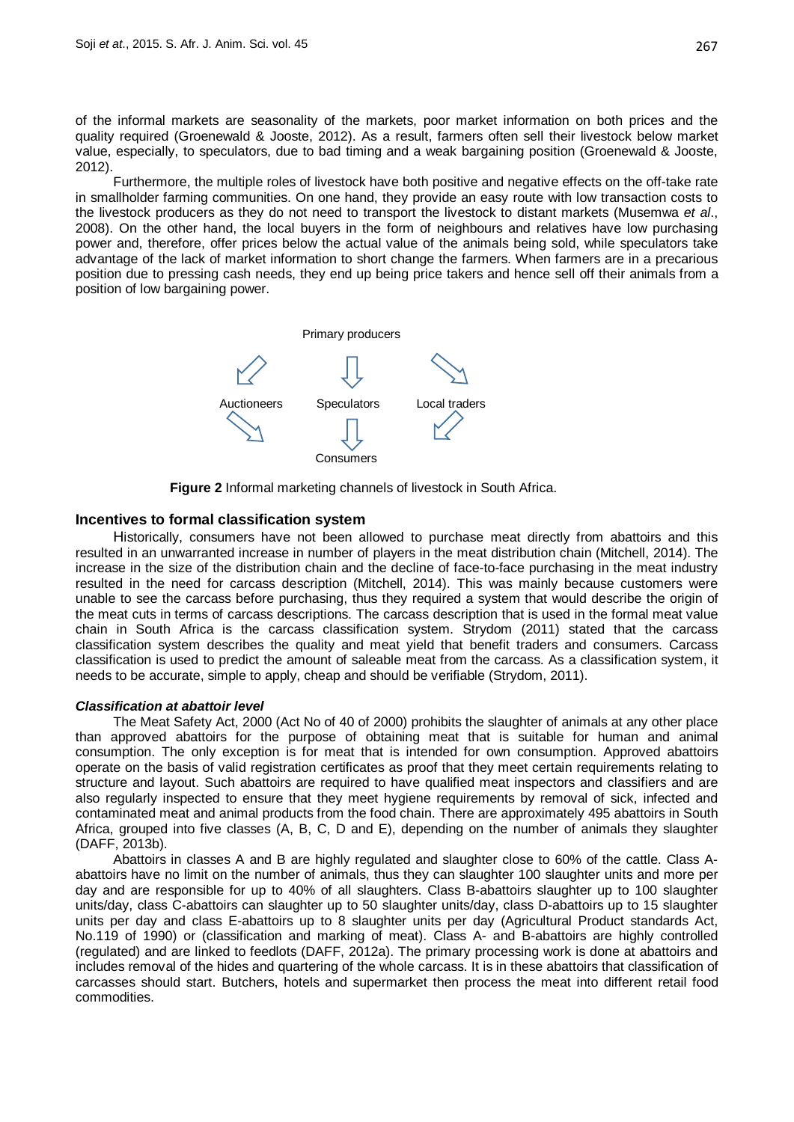of the informal markets are seasonality of the markets, poor market information on both prices and the quality required (Groenewald & Jooste, 2012). As a result, farmers often sell their livestock below market value, especially, to speculators, due to bad timing and a weak bargaining position (Groenewald & Jooste, 2012).

Furthermore, the multiple roles of livestock have both positive and negative effects on the off-take rate in smallholder farming communities. On one hand, they provide an easy route with low transaction costs to the livestock producers as they do not need to transport the livestock to distant markets (Musemwa *et al*., 2008). On the other hand, the local buyers in the form of neighbours and relatives have low purchasing power and, therefore, offer prices below the actual value of the animals being sold, while speculators take advantage of the lack of market information to short change the farmers. When farmers are in a precarious position due to pressing cash needs, they end up being price takers and hence sell off their animals from a position of low bargaining power.



**Figure 2** Informal marketing channels of livestock in South Africa.

# **Incentives to formal classification system**

Historically, consumers have not been allowed to purchase meat directly from abattoirs and this resulted in an unwarranted increase in number of players in the meat distribution chain (Mitchell, 2014). The increase in the size of the distribution chain and the decline of face-to-face purchasing in the meat industry resulted in the need for carcass description (Mitchell, 2014). This was mainly because customers were unable to see the carcass before purchasing, thus they required a system that would describe the origin of the meat cuts in terms of carcass descriptions. The carcass description that is used in the formal meat value chain in South Africa is the carcass classification system. Strydom (2011) stated that the carcass classification system describes the quality and meat yield that benefit traders and consumers. Carcass classification is used to predict the amount of saleable meat from the carcass. As a classification system, it needs to be accurate, simple to apply, cheap and should be verifiable (Strydom, 2011).

#### *Classification at abattoir level*

The Meat Safety Act, 2000 (Act No of 40 of 2000) prohibits the slaughter of animals at any other place than approved abattoirs for the purpose of obtaining meat that is suitable for human and animal consumption. The only exception is for meat that is intended for own consumption. Approved abattoirs operate on the basis of valid registration certificates as proof that they meet certain requirements relating to structure and layout. Such abattoirs are required to have qualified meat inspectors and classifiers and are also regularly inspected to ensure that they meet hygiene requirements by removal of sick, infected and contaminated meat and animal products from the food chain. There are approximately 495 abattoirs in South Africa, grouped into five classes (A, B, C, D and E), depending on the number of animals they slaughter (DAFF, 2013b).

Abattoirs in classes A and B are highly regulated and slaughter close to 60% of the cattle. Class Aabattoirs have no limit on the number of animals, thus they can slaughter 100 slaughter units and more per day and are responsible for up to 40% of all slaughters. Class B-abattoirs slaughter up to 100 slaughter units/day, class C-abattoirs can slaughter up to 50 slaughter units/day, class D-abattoirs up to 15 slaughter units per day and class E-abattoirs up to 8 slaughter units per day (Agricultural Product standards Act, No.119 of 1990) or (classification and marking of meat). Class A- and B-abattoirs are highly controlled (regulated) and are linked to feedlots (DAFF, 2012a). The primary processing work is done at abattoirs and includes removal of the hides and quartering of the whole carcass. It is in these abattoirs that classification of carcasses should start. Butchers, hotels and supermarket then process the meat into different retail food commodities.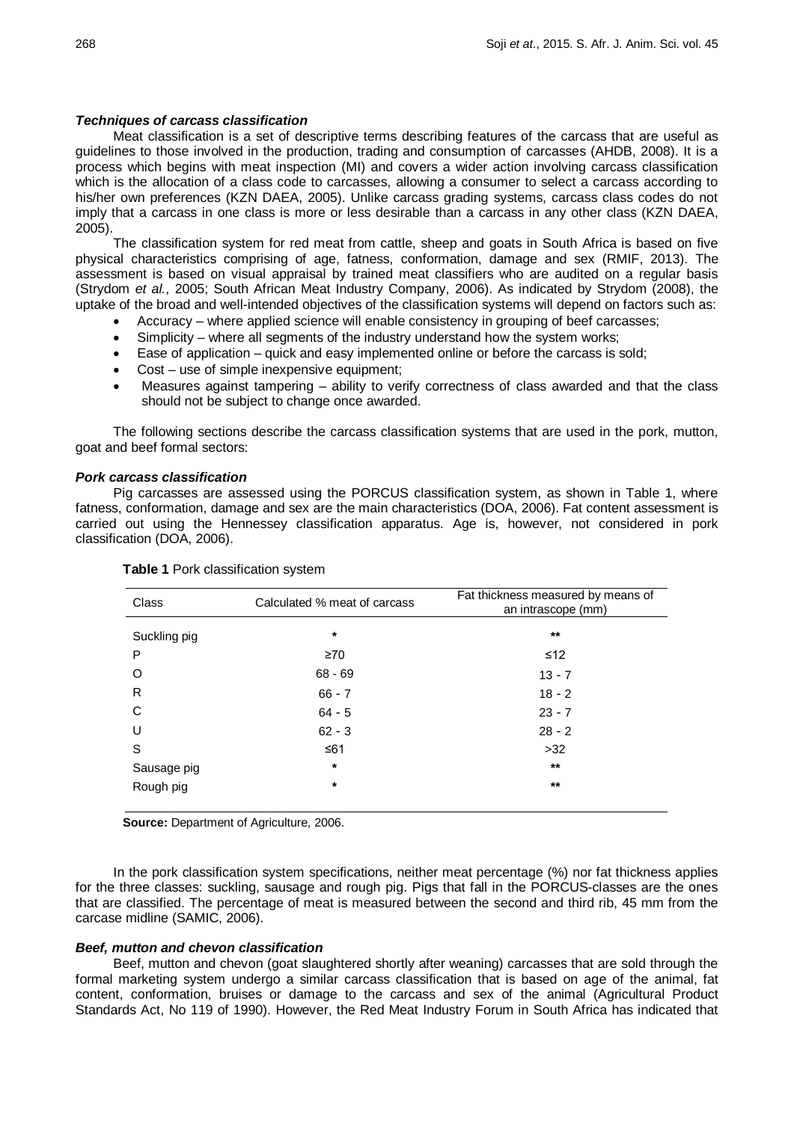#### *Techniques of carcass classification*

Meat classification is a set of descriptive terms describing features of the carcass that are useful as guidelines to those involved in the production, trading and consumption of carcasses (AHDB, 2008). It is a process which begins with meat inspection (MI) and covers a wider action involving carcass classification which is the allocation of a class code to carcasses, allowing a consumer to select a carcass according to his/her own preferences (KZN DAEA, 2005). Unlike carcass grading systems, carcass class codes do not imply that a carcass in one class is more or less desirable than a carcass in any other class (KZN DAEA, 2005).

The classification system for red meat from cattle, sheep and goats in South Africa is based on five physical characteristics comprising of age, fatness, conformation, damage and sex (RMIF, 2013). The assessment is based on visual appraisal by trained meat classifiers who are audited on a regular basis (Strydom *et al.*, 2005; South African Meat Industry Company, 2006). As indicated by Strydom (2008), the uptake of the broad and well-intended objectives of the classification systems will depend on factors such as:

- Accuracy where applied science will enable consistency in grouping of beef carcasses;
- Simplicity where all segments of the industry understand how the system works;
- Ease of application quick and easy implemented online or before the carcass is sold;
- Cost use of simple inexpensive equipment;
- Measures against tampering ability to verify correctness of class awarded and that the class should not be subject to change once awarded.

The following sections describe the carcass classification systems that are used in the pork, mutton, goat and beef formal sectors:

### *Pork carcass classification*

Pig carcasses are assessed using the PORCUS classification system, as shown in Table 1, where fatness, conformation, damage and sex are the main characteristics (DOA, 2006). Fat content assessment is carried out using the Hennessey classification apparatus. Age is, however, not considered in pork classification (DOA, 2006).

| Class        | Calculated % meat of carcass | Fat thickness measured by means of<br>an intrascope (mm) |
|--------------|------------------------------|----------------------------------------------------------|
| Suckling pig | $^\star$                     | $***$                                                    |
| P            | $\geq 70$                    | ≤12                                                      |
| O            | $68 - 69$                    | $13 - 7$                                                 |
| R            | $66 - 7$                     | $18 - 2$                                                 |
| С            | $64 - 5$                     | $23 - 7$                                                 |
| U            | $62 - 3$                     | $28 - 2$                                                 |
| S            | ≤61                          | $>32$                                                    |
| Sausage pig  | $\star$                      | $***$                                                    |
| Rough pig    | $\star$                      | $***$                                                    |

#### **Table 1** Pork classification system

**Source:** Department of Agriculture, 2006.

In the pork classification system specifications, neither meat percentage (%) nor fat thickness applies for the three classes: suckling, sausage and rough pig. Pigs that fall in the PORCUS-classes are the ones that are classified. The percentage of meat is measured between the second and third rib, 45 mm from the carcase midline (SAMIC, 2006).

#### *Beef, mutton and chevon classification*

Beef, mutton and chevon (goat slaughtered shortly after weaning) carcasses that are sold through the formal marketing system undergo a similar carcass classification that is based on age of the animal, fat content, conformation, bruises or damage to the carcass and sex of the animal (Agricultural Product Standards Act, No 119 of 1990). However, the Red Meat Industry Forum in South Africa has indicated that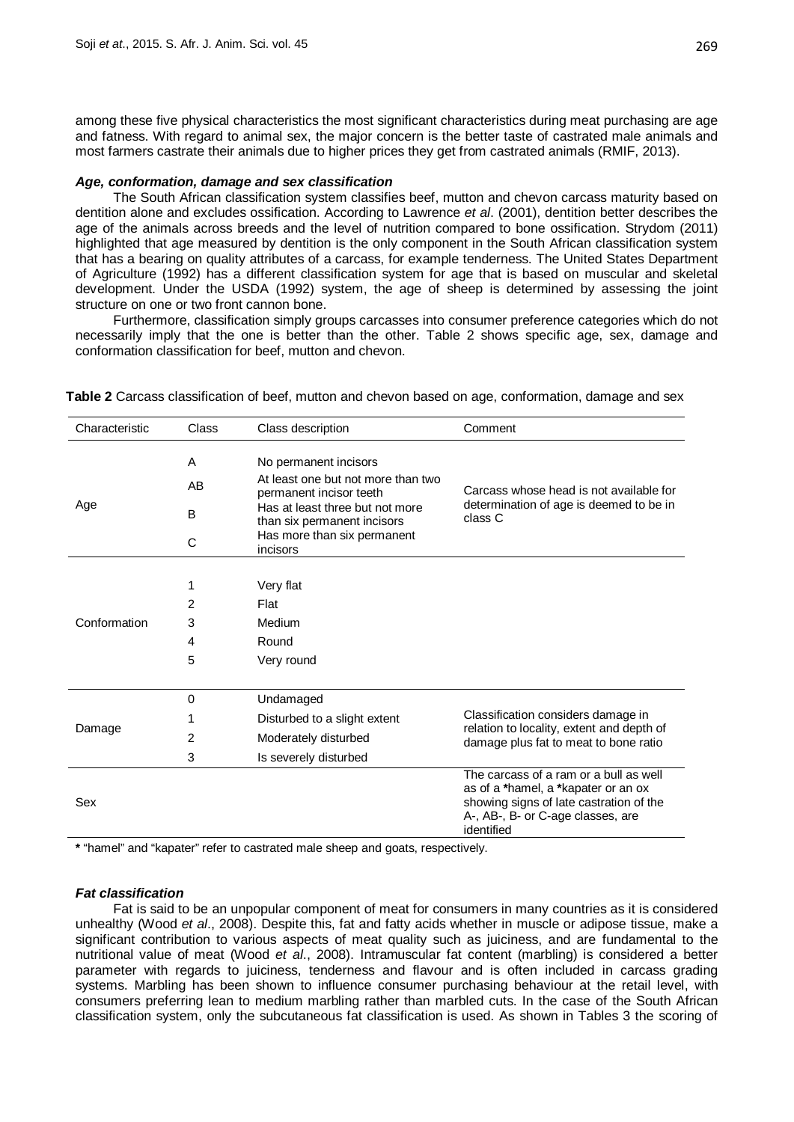among these five physical characteristics the most significant characteristics during meat purchasing are age and fatness. With regard to animal sex, the major concern is the better taste of castrated male animals and most farmers castrate their animals due to higher prices they get from castrated animals (RMIF, 2013).

## *Age, conformation, damage and sex classification*

The South African classification system classifies beef, mutton and chevon carcass maturity based on dentition alone and excludes ossification. According to Lawrence *et al*. (2001), dentition better describes the age of the animals across breeds and the level of nutrition compared to bone ossification. Strydom (2011) highlighted that age measured by dentition is the only component in the South African classification system that has a bearing on quality attributes of a carcass, for example tenderness. The United States Department of Agriculture (1992) has a different classification system for age that is based on muscular and skeletal development. Under the USDA (1992) system, the age of sheep is determined by assessing the joint structure on one or two front cannon bone.

Furthermore, classification simply groups carcasses into consumer preference categories which do not necessarily imply that the one is better than the other. Table 2 shows specific age, sex, damage and conformation classification for beef, mutton and chevon.

| Characteristic | Class | Class description                                                                                                                                                                                   | Comment                                                                                                                                                                     |
|----------------|-------|-----------------------------------------------------------------------------------------------------------------------------------------------------------------------------------------------------|-----------------------------------------------------------------------------------------------------------------------------------------------------------------------------|
| Age            | Α     | No permanent incisors<br>At least one but not more than two<br>permanent incisor teeth<br>Has at least three but not more<br>than six permanent incisors<br>Has more than six permanent<br>incisors | Carcass whose head is not available for<br>determination of age is deemed to be in<br>class C                                                                               |
|                | AB    |                                                                                                                                                                                                     |                                                                                                                                                                             |
|                | B     |                                                                                                                                                                                                     |                                                                                                                                                                             |
|                | С     |                                                                                                                                                                                                     |                                                                                                                                                                             |
|                |       |                                                                                                                                                                                                     |                                                                                                                                                                             |
| Conformation   | 1     | Very flat                                                                                                                                                                                           |                                                                                                                                                                             |
|                | 2     | Flat                                                                                                                                                                                                |                                                                                                                                                                             |
|                | 3     | Medium                                                                                                                                                                                              |                                                                                                                                                                             |
|                | 4     | Round                                                                                                                                                                                               |                                                                                                                                                                             |
|                | 5     | Very round                                                                                                                                                                                          |                                                                                                                                                                             |
| Damage         | 0     | Undamaged                                                                                                                                                                                           |                                                                                                                                                                             |
|                | 1     | Disturbed to a slight extent                                                                                                                                                                        | Classification considers damage in<br>relation to locality, extent and depth of<br>damage plus fat to meat to bone ratio                                                    |
|                | 2     | Moderately disturbed                                                                                                                                                                                |                                                                                                                                                                             |
|                | 3     | Is severely disturbed                                                                                                                                                                               |                                                                                                                                                                             |
| Sex            |       |                                                                                                                                                                                                     | The carcass of a ram or a bull as well<br>as of a *hamel, a *kapater or an ox<br>showing signs of late castration of the<br>A-, AB-, B- or C-age classes, are<br>identified |

**Table 2** Carcass classification of beef, mutton and chevon based on age, conformation, damage and sex

**\*** "hamel" and "kapater" refer to castrated male sheep and goats, respectively.

#### *Fat classification*

Fat is said to be an unpopular component of meat for consumers in many countries as it is considered unhealthy (Wood *et al*., 2008). Despite this, fat and fatty acids whether in muscle or adipose tissue, make a significant contribution to various aspects of meat quality such as juiciness, and are fundamental to the nutritional value of meat (Wood *et al*., 2008). Intramuscular fat content (marbling) is considered a better parameter with regards to juiciness, tenderness and flavour and is often included in carcass grading systems. Marbling has been shown to influence consumer purchasing behaviour at the retail level, with consumers preferring lean to medium marbling rather than marbled cuts. In the case of the South African classification system, only the subcutaneous fat classification is used. As shown in Tables 3 the scoring of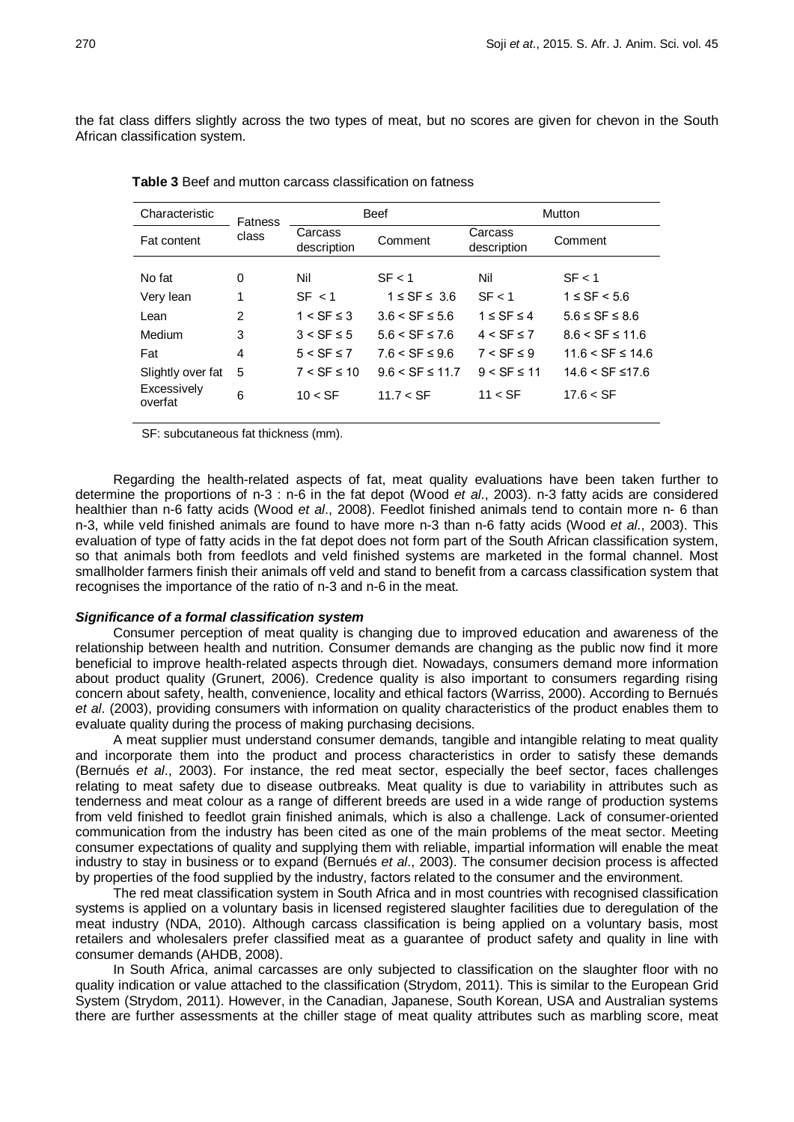the fat class differs slightly across the two types of meat, but no scores are given for chevon in the South African classification system.

| $1 \leq SF \leq 5.6$    |
|-------------------------|
| $5.6 \leq SF \leq 8.6$  |
| $8.6 <$ SF $\leq$ 11.6  |
| $11.6 <$ SF $\leq 14.6$ |
| $14.6 <$ SF $\leq$ 17.6 |
| $17.6 < S$ F            |
|                         |

**Table 3** Beef and mutton carcass classification on fatness

SF: subcutaneous fat thickness (mm).

Regarding the health-related aspects of fat, meat quality evaluations have been taken further to determine the proportions of n-3 : n-6 in the fat depot (Wood *et al*., 2003). n-3 fatty acids are considered healthier than n-6 fatty acids (Wood *et al*., 2008). Feedlot finished animals tend to contain more n- 6 than n-3, while veld finished animals are found to have more n-3 than n-6 fatty acids (Wood *et al*., 2003). This evaluation of type of fatty acids in the fat depot does not form part of the South African classification system, so that animals both from feedlots and veld finished systems are marketed in the formal channel. Most smallholder farmers finish their animals off veld and stand to benefit from a carcass classification system that recognises the importance of the ratio of n-3 and n-6 in the meat.

#### *Significance of a formal classification system*

Consumer perception of meat quality is changing due to improved education and awareness of the relationship between health and nutrition. Consumer demands are changing as the public now find it more beneficial to improve health-related aspects through diet. Nowadays, consumers demand more information about product quality (Grunert, 2006). Credence quality is also important to consumers regarding rising concern about safety, health, convenience, locality and ethical factors (Warriss, 2000). According to Bernués *et al*. (2003), providing consumers with information on quality characteristics of the product enables them to evaluate quality during the process of making purchasing decisions.

A meat supplier must understand consumer demands, tangible and intangible relating to meat quality and incorporate them into the product and process characteristics in order to satisfy these demands (Bernués *et al*., 2003). For instance, the red meat sector, especially the beef sector, faces challenges relating to meat safety due to disease outbreaks. Meat quality is due to variability in attributes such as tenderness and meat colour as a range of different breeds are used in a wide range of production systems from veld finished to feedlot grain finished animals, which is also a challenge. Lack of consumer-oriented communication from the industry has been cited as one of the main problems of the meat sector. Meeting consumer expectations of quality and supplying them with reliable, impartial information will enable the meat industry to stay in business or to expand (Bernués *et al*., 2003). The consumer decision process is affected by properties of the food supplied by the industry, factors related to the consumer and the environment.

The red meat classification system in South Africa and in most countries with recognised classification systems is applied on a voluntary basis in licensed registered slaughter facilities due to deregulation of the meat industry (NDA, 2010). Although carcass classification is being applied on a voluntary basis, most retailers and wholesalers prefer classified meat as a guarantee of product safety and quality in line with consumer demands (AHDB, 2008).

In South Africa, animal carcasses are only subjected to classification on the slaughter floor with no quality indication or value attached to the classification (Strydom, 2011). This is similar to the European Grid System (Strydom, 2011). However, in the Canadian, Japanese, South Korean, USA and Australian systems there are further assessments at the chiller stage of meat quality attributes such as marbling score, meat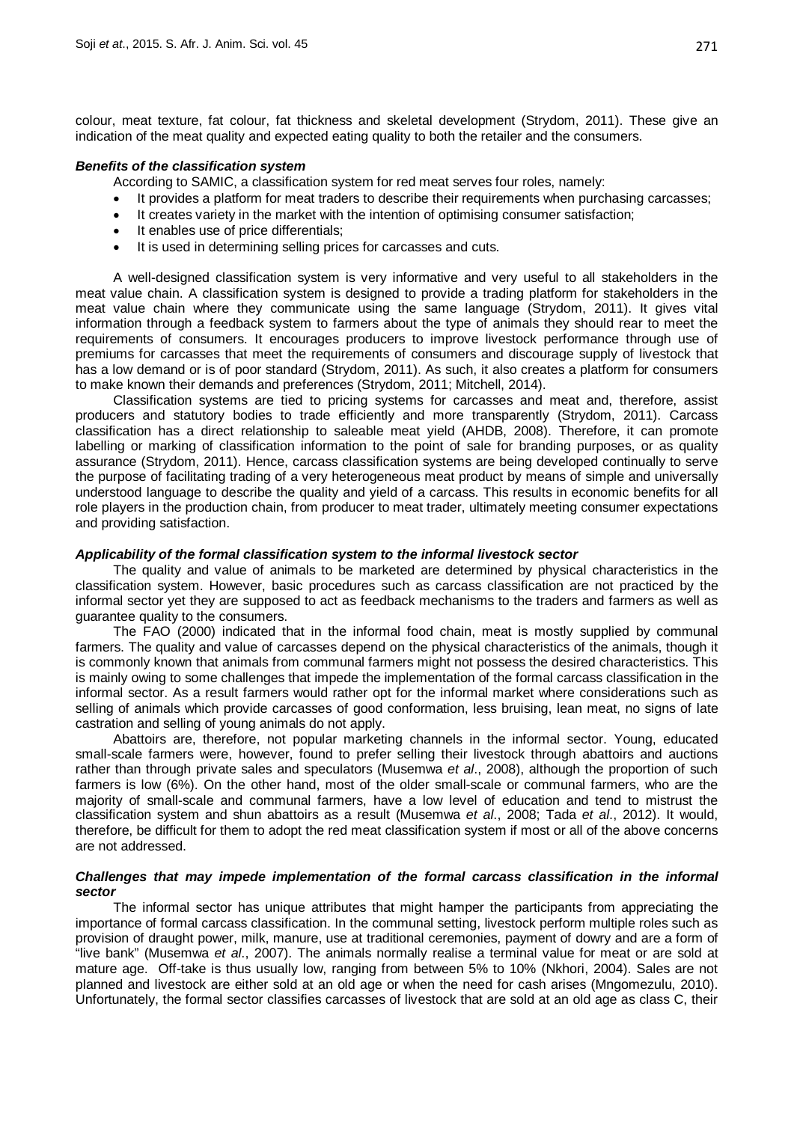colour, meat texture, fat colour, fat thickness and skeletal development (Strydom, 2011). These give an indication of the meat quality and expected eating quality to both the retailer and the consumers.

# *Benefits of the classification system*

- According to SAMIC, a classification system for red meat serves four roles, namely:
- It provides a platform for meat traders to describe their requirements when purchasing carcasses;
- It creates variety in the market with the intention of optimising consumer satisfaction;
- It enables use of price differentials;
- It is used in determining selling prices for carcasses and cuts.

A well-designed classification system is very informative and very useful to all stakeholders in the meat value chain. A classification system is designed to provide a trading platform for stakeholders in the meat value chain where they communicate using the same language (Strydom, 2011). It gives vital information through a feedback system to farmers about the type of animals they should rear to meet the requirements of consumers. It encourages producers to improve livestock performance through use of premiums for carcasses that meet the requirements of consumers and discourage supply of livestock that has a low demand or is of poor standard (Strydom, 2011). As such, it also creates a platform for consumers to make known their demands and preferences (Strydom, 2011; Mitchell, 2014).

Classification systems are tied to pricing systems for carcasses and meat and, therefore, assist producers and statutory bodies to trade efficiently and more transparently (Strydom, 2011). Carcass classification has a direct relationship to saleable meat yield (AHDB, 2008). Therefore, it can promote labelling or marking of classification information to the point of sale for branding purposes, or as quality assurance (Strydom, 2011). Hence, carcass classification systems are being developed continually to serve the purpose of facilitating trading of a very heterogeneous meat product by means of simple and universally understood language to describe the quality and yield of a carcass. This results in economic benefits for all role players in the production chain, from producer to meat trader, ultimately meeting consumer expectations and providing satisfaction.

# *Applicability of the formal classification system to the informal livestock sector*

The quality and value of animals to be marketed are determined by physical characteristics in the classification system. However, basic procedures such as carcass classification are not practiced by the informal sector yet they are supposed to act as feedback mechanisms to the traders and farmers as well as guarantee quality to the consumers.

The FAO (2000) indicated that in the informal food chain, meat is mostly supplied by communal farmers. The quality and value of carcasses depend on the physical characteristics of the animals, though it is commonly known that animals from communal farmers might not possess the desired characteristics. This is mainly owing to some challenges that impede the implementation of the formal carcass classification in the informal sector. As a result farmers would rather opt for the informal market where considerations such as selling of animals which provide carcasses of good conformation, less bruising, lean meat, no signs of late castration and selling of young animals do not apply.

Abattoirs are, therefore, not popular marketing channels in the informal sector. Young, educated small-scale farmers were, however, found to prefer selling their livestock through abattoirs and auctions rather than through private sales and speculators (Musemwa *et al*., 2008), although the proportion of such farmers is low (6%). On the other hand, most of the older small-scale or communal farmers, who are the majority of small-scale and communal farmers, have a low level of education and tend to mistrust the classification system and shun abattoirs as a result (Musemwa *et al*., 2008; Tada *et al*., 2012). It would, therefore, be difficult for them to adopt the red meat classification system if most or all of the above concerns are not addressed.

# *Challenges that may impede implementation of the formal carcass classification in the informal sector*

The informal sector has unique attributes that might hamper the participants from appreciating the importance of formal carcass classification. In the communal setting, livestock perform multiple roles such as provision of draught power, milk, manure, use at traditional ceremonies, payment of dowry and are a form of "live bank" (Musemwa *et al*., 2007). The animals normally realise a terminal value for meat or are sold at mature age. Off-take is thus usually low, ranging from between 5% to 10% (Nkhori, 2004). Sales are not planned and livestock are either sold at an old age or when the need for cash arises (Mngomezulu, 2010). Unfortunately, the formal sector classifies carcasses of livestock that are sold at an old age as class C, their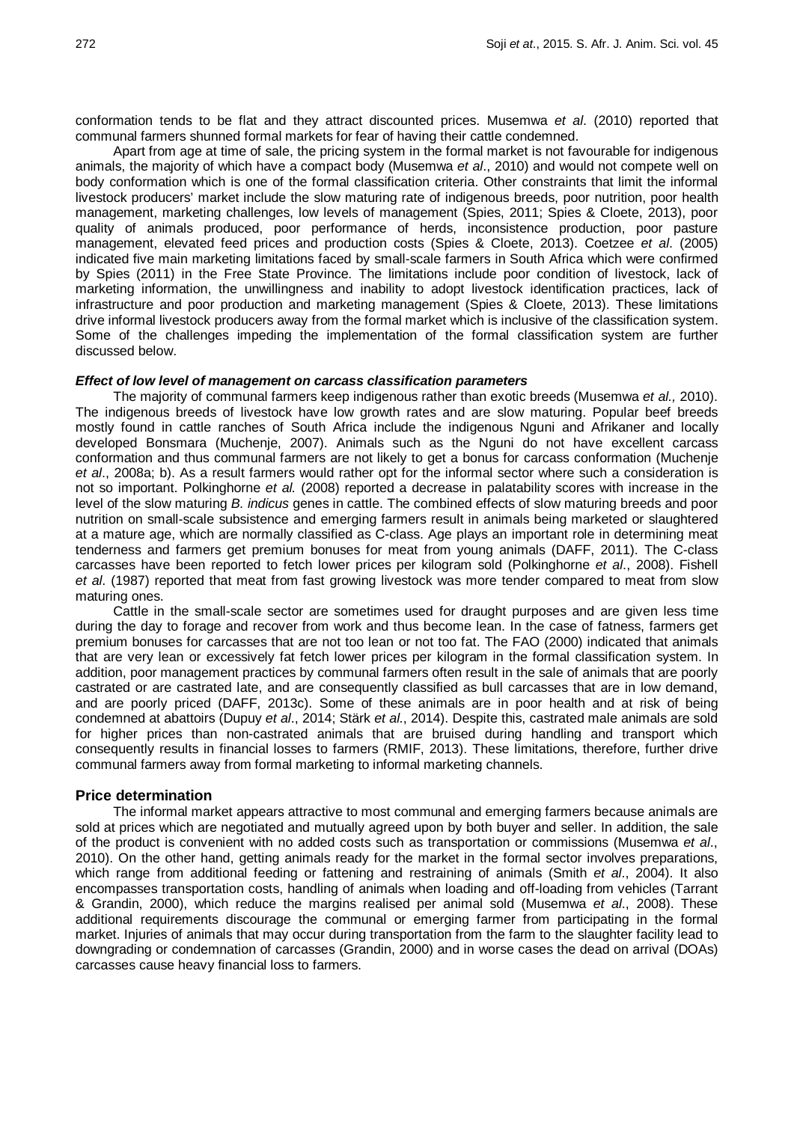conformation tends to be flat and they attract discounted prices. Musemwa *et al*. (2010) reported that communal farmers shunned formal markets for fear of having their cattle condemned.

Apart from age at time of sale, the pricing system in the formal market is not favourable for indigenous animals, the majority of which have a compact body (Musemwa *et al*., 2010) and would not compete well on body conformation which is one of the formal classification criteria. Other constraints that limit the informal livestock producers' market include the slow maturing rate of indigenous breeds, poor nutrition, poor health management, marketing challenges, low levels of management (Spies, 2011; Spies & Cloete, 2013), poor quality of animals produced, poor performance of herds, inconsistence production, poor pasture management, elevated feed prices and production costs (Spies & Cloete, 2013). Coetzee *et al*. (2005) indicated five main marketing limitations faced by small-scale farmers in South Africa which were confirmed by Spies (2011) in the Free State Province. The limitations include poor condition of livestock, lack of marketing information, the unwillingness and inability to adopt livestock identification practices, lack of infrastructure and poor production and marketing management (Spies & Cloete, 2013). These limitations drive informal livestock producers away from the formal market which is inclusive of the classification system. Some of the challenges impeding the implementation of the formal classification system are further discussed below.

#### *Effect of low level of management on carcass classification parameters*

The majority of communal farmers keep indigenous rather than exotic breeds (Musemwa *et al.,* 2010). The indigenous breeds of livestock have low growth rates and are slow maturing. Popular beef breeds mostly found in cattle ranches of South Africa include the indigenous Nguni and Afrikaner and locally developed Bonsmara (Muchenje, 2007). Animals such as the Nguni do not have excellent carcass conformation and thus communal farmers are not likely to get a bonus for carcass conformation (Muchenje *et al*., 2008a; b). As a result farmers would rather opt for the informal sector where such a consideration is not so important. Polkinghorne *et al.* (2008) reported a decrease in palatability scores with increase in the level of the slow maturing *B. indicus* genes in cattle. The combined effects of slow maturing breeds and poor nutrition on small-scale subsistence and emerging farmers result in animals being marketed or slaughtered at a mature age, which are normally classified as C-class. Age plays an important role in determining meat tenderness and farmers get premium bonuses for meat from young animals (DAFF, 2011). The C-class carcasses have been reported to fetch lower prices per kilogram sold (Polkinghorne *et al*., 2008). Fishell *et al*. (1987) reported that meat from fast growing livestock was more tender compared to meat from slow maturing ones.

Cattle in the small-scale sector are sometimes used for draught purposes and are given less time during the day to forage and recover from work and thus become lean. In the case of fatness, farmers get premium bonuses for carcasses that are not too lean or not too fat. The FAO (2000) indicated that animals that are very lean or excessively fat fetch lower prices per kilogram in the formal classification system. In addition, poor management practices by communal farmers often result in the sale of animals that are poorly castrated or are castrated late, and are consequently classified as bull carcasses that are in low demand, and are poorly priced (DAFF, 2013c). Some of these animals are in poor health and at risk of being condemned at abattoirs (Dupuy *et al*., 2014; Stärk *et al*., 2014). Despite this, castrated male animals are sold for higher prices than non-castrated animals that are bruised during handling and transport which consequently results in financial losses to farmers (RMIF, 2013). These limitations, therefore, further drive communal farmers away from formal marketing to informal marketing channels.

## **Price determination**

The informal market appears attractive to most communal and emerging farmers because animals are sold at prices which are negotiated and mutually agreed upon by both buyer and seller. In addition, the sale of the product is convenient with no added costs such as transportation or commissions (Musemwa *et al*., 2010). On the other hand, getting animals ready for the market in the formal sector involves preparations, which range from additional feeding or fattening and restraining of animals (Smith *et al*., 2004). It also encompasses transportation costs, handling of animals when loading and off-loading from vehicles (Tarrant & Grandin, 2000), which reduce the margins realised per animal sold (Musemwa *et al*., 2008). These additional requirements discourage the communal or emerging farmer from participating in the formal market. Injuries of animals that may occur during transportation from the farm to the slaughter facility lead to downgrading or condemnation of carcasses (Grandin, 2000) and in worse cases the dead on arrival (DOAs) carcasses cause heavy financial loss to farmers.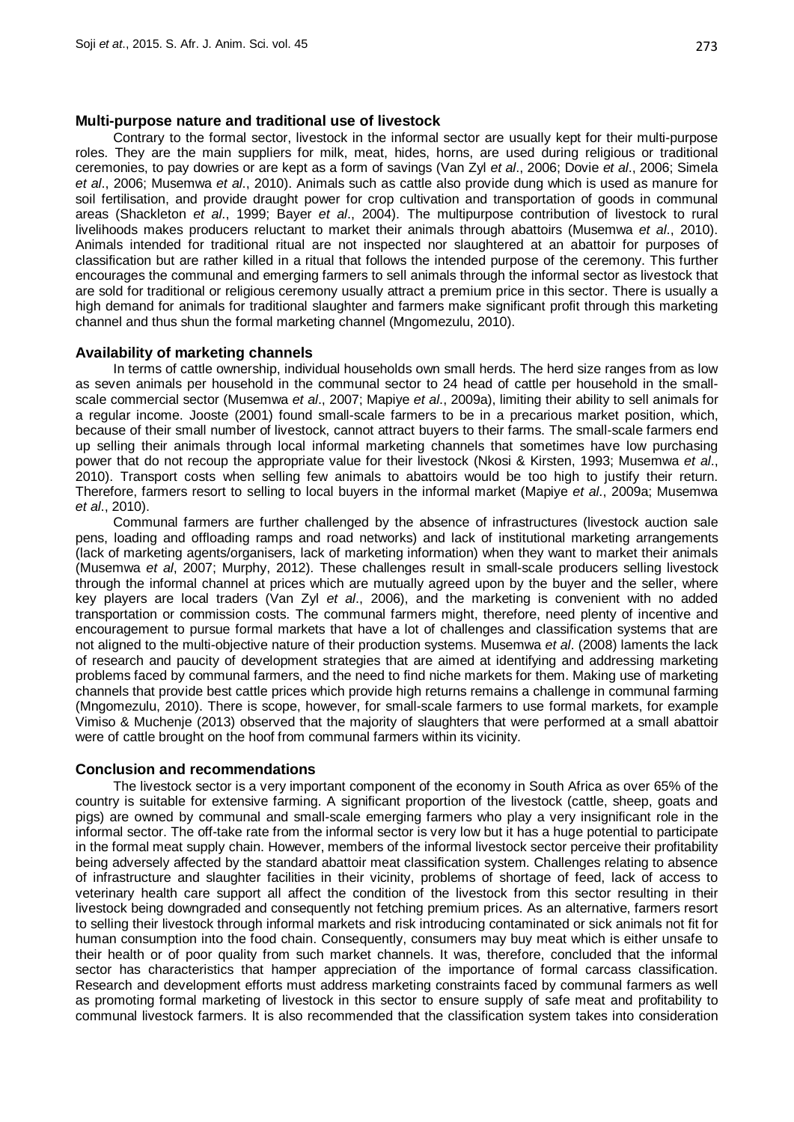# **Multi-purpose nature and traditional use of livestock**

Contrary to the formal sector, livestock in the informal sector are usually kept for their multi-purpose roles. They are the main suppliers for milk, meat, hides, horns, are used during religious or traditional ceremonies, to pay dowries or are kept as a form of savings (Van Zyl *et al*., 2006; Dovie *et al*., 2006; Simela *et al*., 2006; Musemwa *et al*., 2010). Animals such as cattle also provide dung which is used as manure for soil fertilisation, and provide draught power for crop cultivation and transportation of goods in communal areas (Shackleton *et al*., 1999; Bayer *et al*., 2004). The multipurpose contribution of livestock to rural livelihoods makes producers reluctant to market their animals through abattoirs (Musemwa *et al*., 2010). Animals intended for traditional ritual are not inspected nor slaughtered at an abattoir for purposes of classification but are rather killed in a ritual that follows the intended purpose of the ceremony. This further encourages the communal and emerging farmers to sell animals through the informal sector as livestock that are sold for traditional or religious ceremony usually attract a premium price in this sector. There is usually a high demand for animals for traditional slaughter and farmers make significant profit through this marketing channel and thus shun the formal marketing channel (Mngomezulu, 2010).

## **Availability of marketing channels**

In terms of cattle ownership, individual households own small herds. The herd size ranges from as low as seven animals per household in the communal sector to 24 head of cattle per household in the smallscale commercial sector (Musemwa *et al*., 2007; Mapiye *et al*., 2009a), limiting their ability to sell animals for a regular income. Jooste (2001) found small-scale farmers to be in a precarious market position, which, because of their small number of livestock, cannot attract buyers to their farms. The small-scale farmers end up selling their animals through local informal marketing channels that sometimes have low purchasing power that do not recoup the appropriate value for their livestock (Nkosi & Kirsten, 1993; Musemwa *et al*., 2010). Transport costs when selling few animals to abattoirs would be too high to justify their return. Therefore, farmers resort to selling to local buyers in the informal market (Mapiye *et al*., 2009a; Musemwa *et al*., 2010).

Communal farmers are further challenged by the absence of infrastructures (livestock auction sale pens, loading and offloading ramps and road networks) and lack of institutional marketing arrangements (lack of marketing agents/organisers, lack of marketing information) when they want to market their animals (Musemwa *et al*, 2007; Murphy, 2012). These challenges result in small-scale producers selling livestock through the informal channel at prices which are mutually agreed upon by the buyer and the seller, where key players are local traders (Van Zyl *et al*., 2006), and the marketing is convenient with no added transportation or commission costs. The communal farmers might, therefore, need plenty of incentive and encouragement to pursue formal markets that have a lot of challenges and classification systems that are not aligned to the multi-objective nature of their production systems. Musemwa *et al*. (2008) laments the lack of research and paucity of development strategies that are aimed at identifying and addressing marketing problems faced by communal farmers, and the need to find niche markets for them. Making use of marketing channels that provide best cattle prices which provide high returns remains a challenge in communal farming (Mngomezulu, 2010). There is scope, however, for small-scale farmers to use formal markets, for example Vimiso & Muchenje (2013) observed that the majority of slaughters that were performed at a small abattoir were of cattle brought on the hoof from communal farmers within its vicinity.

# **Conclusion and recommendations**

The livestock sector is a very important component of the economy in South Africa as over 65% of the country is suitable for extensive farming. A significant proportion of the livestock (cattle, sheep, goats and pigs) are owned by communal and small-scale emerging farmers who play a very insignificant role in the informal sector. The off-take rate from the informal sector is very low but it has a huge potential to participate in the formal meat supply chain. However, members of the informal livestock sector perceive their profitability being adversely affected by the standard abattoir meat classification system. Challenges relating to absence of infrastructure and slaughter facilities in their vicinity, problems of shortage of feed, lack of access to veterinary health care support all affect the condition of the livestock from this sector resulting in their livestock being downgraded and consequently not fetching premium prices. As an alternative, farmers resort to selling their livestock through informal markets and risk introducing contaminated or sick animals not fit for human consumption into the food chain. Consequently, consumers may buy meat which is either unsafe to their health or of poor quality from such market channels. It was, therefore, concluded that the informal sector has characteristics that hamper appreciation of the importance of formal carcass classification. Research and development efforts must address marketing constraints faced by communal farmers as well as promoting formal marketing of livestock in this sector to ensure supply of safe meat and profitability to communal livestock farmers. It is also recommended that the classification system takes into consideration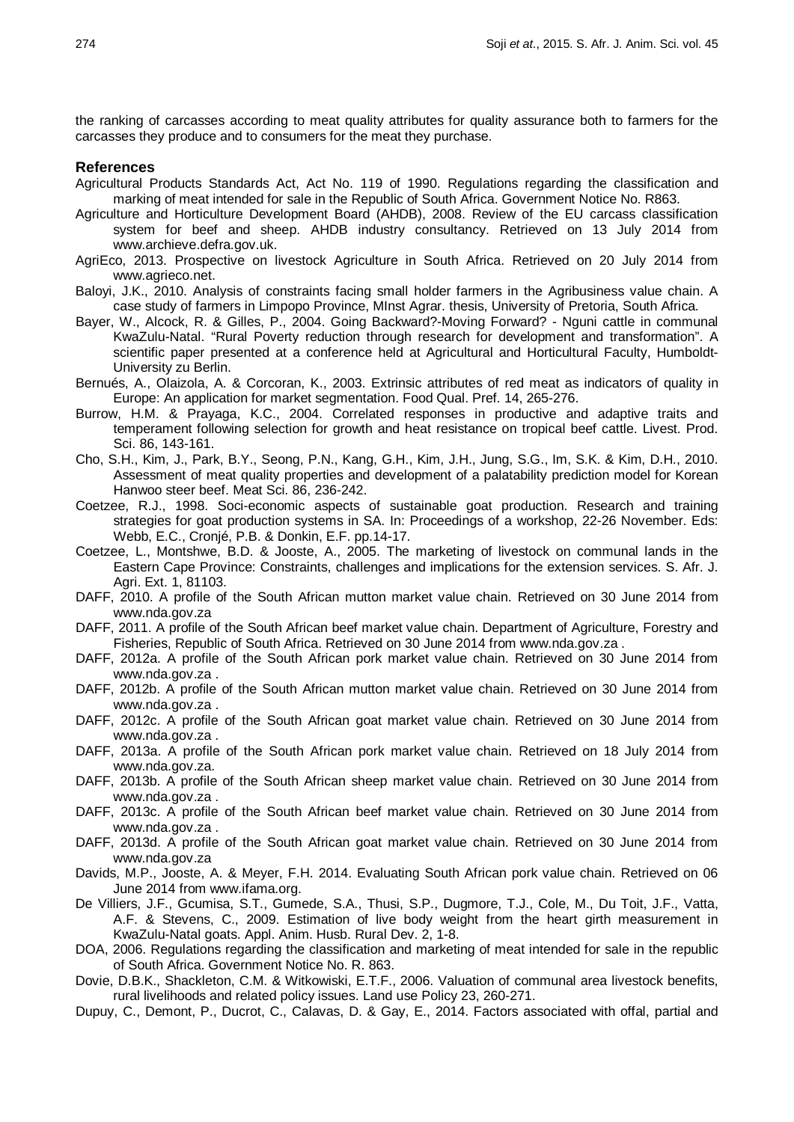the ranking of carcasses according to meat quality attributes for quality assurance both to farmers for the carcasses they produce and to consumers for the meat they purchase.

## **References**

- Agricultural Products Standards Act, Act No. 119 of 1990. Regulations regarding the classification and marking of meat intended for sale in the Republic of South Africa. Government Notice No. R863.
- Agriculture and Horticulture Development Board (AHDB), 2008. Review of the EU carcass classification system for beef and sheep. AHDB industry consultancy. Retrieved on 13 July 2014 from [www.archieve.defra.gov.uk.](http://www.archieve.defra.gov.uk/)
- AgriEco, 2013. Prospective on livestock Agriculture in South Africa. Retrieved on 20 July 2014 from [www.agrieco.net.](http://www.agrieco.net./)
- Baloyi, J.K., 2010. Analysis of constraints facing small holder farmers in the Agribusiness value chain. A case study of farmers in Limpopo Province, MInst Agrar. thesis, University of Pretoria, South Africa.
- Bayer, W., Alcock, R. & Gilles, P., 2004. Going Backward?-Moving Forward? Nguni cattle in communal KwaZulu-Natal. "Rural Poverty reduction through research for development and transformation". A scientific paper presented at a conference held at Agricultural and Horticultural Faculty, Humboldt-University zu Berlin.
- Bernués, A., Olaizola, A. & Corcoran, K., 2003. Extrinsic attributes of red meat as indicators of quality in Europe: An application for market segmentation. Food Qual. Pref. 14, 265-276.
- Burrow, H.M. & Prayaga, K.C., 2004. Correlated responses in productive and adaptive traits and temperament following selection for growth and heat resistance on tropical beef cattle. Livest. Prod. Sci. 86, 143-161.
- Cho, S.H., Kim, J., Park, B.Y., Seong, P.N., Kang, G.H., Kim, J.H., Jung, S.G., Im, S.K. & Kim, D.H., 2010. Assessment of meat quality properties and development of a palatability prediction model for Korean Hanwoo steer beef. Meat Sci. 86, 236-242.
- Coetzee, R.J., 1998. Soci-economic aspects of sustainable goat production. Research and training strategies for goat production systems in SA. In: Proceedings of a workshop, 22-26 November. Eds: Webb, E.C., Cronjé, P.B. & Donkin, E.F. pp.14-17.
- Coetzee, L., Montshwe, B.D. & Jooste, A., 2005. The marketing of livestock on communal lands in the Eastern Cape Province: Constraints, challenges and implications for the extension services. S. Afr. J. Agri. Ext. 1, 81103.
- DAFF, 2010. A profile of the South African mutton market value chain. Retrieved on 30 June 2014 from [www.nda.gov.za](http://www.nda.gov.za/)
- DAFF, 2011. A profile of the South African beef market value chain. Department of Agriculture, Forestry and Fisheries, Republic of South Africa. Retrieved on 30 June 2014 fro[m www.nda.gov.za](http://www.nda.gov.za/) .
- DAFF, 2012a. A profile of the South African pork market value chain. Retrieved on 30 June 2014 from [www.nda.gov.za](http://www.nda.gov.za/) .
- DAFF, 2012b. A profile of the South African mutton market value chain. Retrieved on 30 June 2014 from [www.nda.gov.za](http://www.nda.gov.za/) .
- DAFF, 2012c. A profile of the South African goat market value chain. Retrieved on 30 June 2014 from [www.nda.gov.za](http://www.nda.gov.za/) .
- DAFF, 2013a. A profile of the South African pork market value chain. Retrieved on 18 July 2014 from [www.nda.gov.za.](http://www.nda.gov.za/)
- DAFF, 2013b. A profile of the South African sheep market value chain. Retrieved on 30 June 2014 from [www.nda.gov.za](http://www.nda.gov.za/) .
- DAFF, 2013c. A profile of the South African beef market value chain. Retrieved on 30 June 2014 from [www.nda.gov.za](http://www.nda.gov.za/) .
- DAFF, 2013d. A profile of the South African goat market value chain. Retrieved on 30 June 2014 from www.nda.gov.za
- Davids, M.P., Jooste, A. & Meyer, F.H. 2014. Evaluating South African pork value chain. Retrieved on 06 June 2014 from www.ifama.org.
- De Villiers, J.F., Gcumisa, S.T., Gumede, S.A., Thusi, S.P., Dugmore, T.J., Cole, M., Du Toit, J.F., Vatta, A.F. & Stevens, C., 2009. Estimation of live body weight from the heart girth measurement in KwaZulu-Natal goats. Appl. Anim. Husb. Rural Dev. 2, 1-8.
- DOA, 2006. Regulations regarding the classification and marketing of meat intended for sale in the republic of South Africa. Government Notice No. R. 863.
- Dovie, D.B.K., Shackleton, C.M. & Witkowiski, E.T.F., 2006. Valuation of communal area livestock benefits, rural livelihoods and related policy issues. Land use Policy 23, 260-271.
- Dupuy, C., Demont, P., Ducrot, C., Calavas, D. & Gay, E., 2014. Factors associated with offal, partial and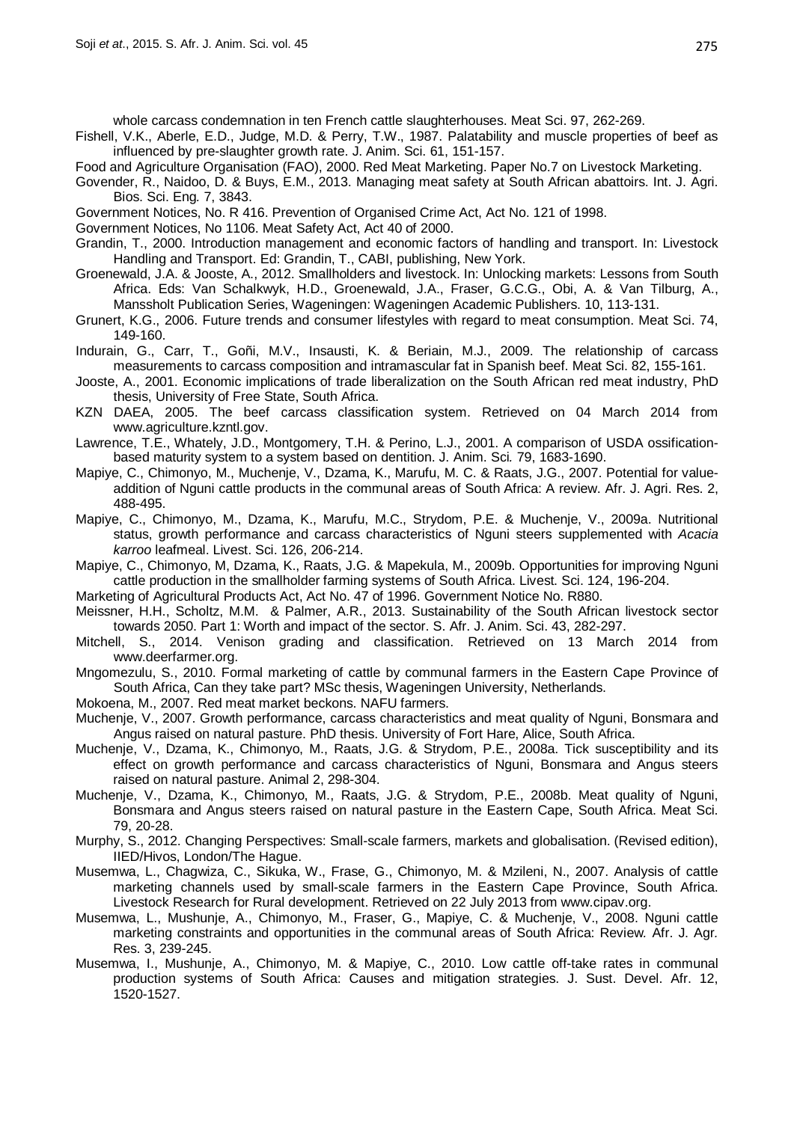whole carcass condemnation in ten French cattle slaughterhouses. Meat Sci. 97, 262-269.

Fishell, V.K., Aberle, E.D., Judge, M.D. & Perry, T.W., 1987. Palatability and muscle properties of beef as influenced by pre-slaughter growth rate. J. Anim. Sci. 61, 151-157.

Food and Agriculture Organisation (FAO), 2000. Red Meat Marketing. Paper No.7 on Livestock Marketing.

Govender, R., Naidoo, D. & Buys, E.M., 2013. Managing meat safety at South African abattoirs. Int. J. Agri. Bios. Sci. Eng*.* 7, 3843.

Government Notices, No. R 416. Prevention of Organised Crime Act, Act No. 121 of 1998.

Government Notices, No 1106. Meat Safety Act, Act 40 of 2000.

Grandin, T., 2000. Introduction management and economic factors of handling and transport. In: Livestock Handling and Transport. Ed: Grandin, T., CABI, publishing, New York.

- Groenewald, J.A. & Jooste, A., 2012. Smallholders and livestock. In: Unlocking markets: Lessons from South Africa. Eds: Van Schalkwyk, H.D., Groenewald, J.A., Fraser, G.C.G., Obi, A. & Van Tilburg, A., Manssholt Publication Series, Wageningen: Wageningen Academic Publishers. 10, 113-131.
- Grunert, K.G., 2006. Future trends and consumer lifestyles with regard to meat consumption. Meat Sci. 74, 149-160.
- Indurain, G., Carr, T., Goñi, M.V., Insausti, K. & Beriain, M.J., 2009. The relationship of carcass measurements to carcass composition and intramascular fat in Spanish beef. Meat Sci. 82, 155-161.
- Jooste, A., 2001. Economic implications of trade liberalization on the South African red meat industry, PhD thesis, University of Free State, South Africa.
- KZN DAEA, 2005. The beef carcass classification system. Retrieved on 04 March 2014 from www.agriculture.kzntl.gov.
- Lawrence, T.E., Whately, J.D., Montgomery, T.H. & Perino, L.J., 2001. A comparison of USDA ossificationbased maturity system to a system based on dentition. J. Anim. Sci*.* 79, 1683-1690.
- Mapiye, C., Chimonyo, M., Muchenje, V., Dzama, K., Marufu, M. C. & Raats, J.G., 2007. Potential for valueaddition of Nguni cattle products in the communal areas of South Africa: A review. Afr. J. Agri. Res. 2, 488-495.
- Mapiye, C., Chimonyo, M., Dzama, K., Marufu, M.C., Strydom, P.E. & Muchenje, V., 2009a. Nutritional status, growth performance and carcass characteristics of Nguni steers supplemented with *Acacia karroo* leafmeal. Livest. Sci. 126, 206-214.
- Mapiye, C., Chimonyo, M, Dzama, K., Raats, J.G. & Mapekula, M., 2009b. Opportunities for improving Nguni cattle production in the smallholder farming systems of South Africa. Livest. Sci. 124, 196-204.
- Marketing of Agricultural Products Act, Act No. 47 of 1996. Government Notice No. R880.
- Meissner, H.H., Scholtz, M.M. & Palmer, A.R., 2013. Sustainability of the South African livestock sector towards 2050. Part 1: Worth and impact of the sector. S. Afr. J. Anim. Sci. 43, 282-297.
- Mitchell, S., 2014. Venison grading and classification. Retrieved on 13 March 2014 from www.deerfarmer.org.
- Mngomezulu, S., 2010. Formal marketing of cattle by communal farmers in the Eastern Cape Province of South Africa, Can they take part? MSc thesis, Wageningen University, Netherlands.
- Mokoena, M., 2007. Red meat market beckons. NAFU farmers.
- Muchenje, V., 2007. Growth performance, carcass characteristics and meat quality of Nguni, Bonsmara and Angus raised on natural pasture. PhD thesis. University of Fort Hare, Alice, South Africa.
- Muchenje, V., Dzama, K., Chimonyo, M., Raats, J.G. & Strydom, P.E., 2008a. Tick susceptibility and its effect on growth performance and carcass characteristics of Nguni, Bonsmara and Angus steers raised on natural pasture. Animal 2, 298-304.
- Muchenje, V., Dzama, K., Chimonyo, M., Raats, J.G. & Strydom, P.E., 2008b. Meat quality of Nguni, Bonsmara and Angus steers raised on natural pasture in the Eastern Cape, South Africa. Meat Sci. 79, 20-28.
- Murphy, S., 2012. Changing Perspectives: Small-scale farmers, markets and globalisation. (Revised edition), IIED/Hivos, London/The Hague.
- Musemwa, L., Chagwiza, C., Sikuka, W., Frase, G., Chimonyo, M. & Mzileni, N., 2007. Analysis of cattle marketing channels used by small-scale farmers in the Eastern Cape Province, South Africa. Livestock Research for Rural development. Retrieved on 22 July 2013 from www.cipav.org.
- Musemwa, L., Mushunje, A., Chimonyo, M., Fraser, G., Mapiye, C. & Muchenje, V., 2008. Nguni cattle marketing constraints and opportunities in the communal areas of South Africa: Review*.* Afr. J. Agr*.* Res. 3, 239-245.
- Musemwa, I., Mushunje, A., Chimonyo, M. & Mapiye, C., 2010. Low cattle off-take rates in communal production systems of South Africa: Causes and mitigation strategies. J. Sust. Devel. Afr. 12, 1520-1527.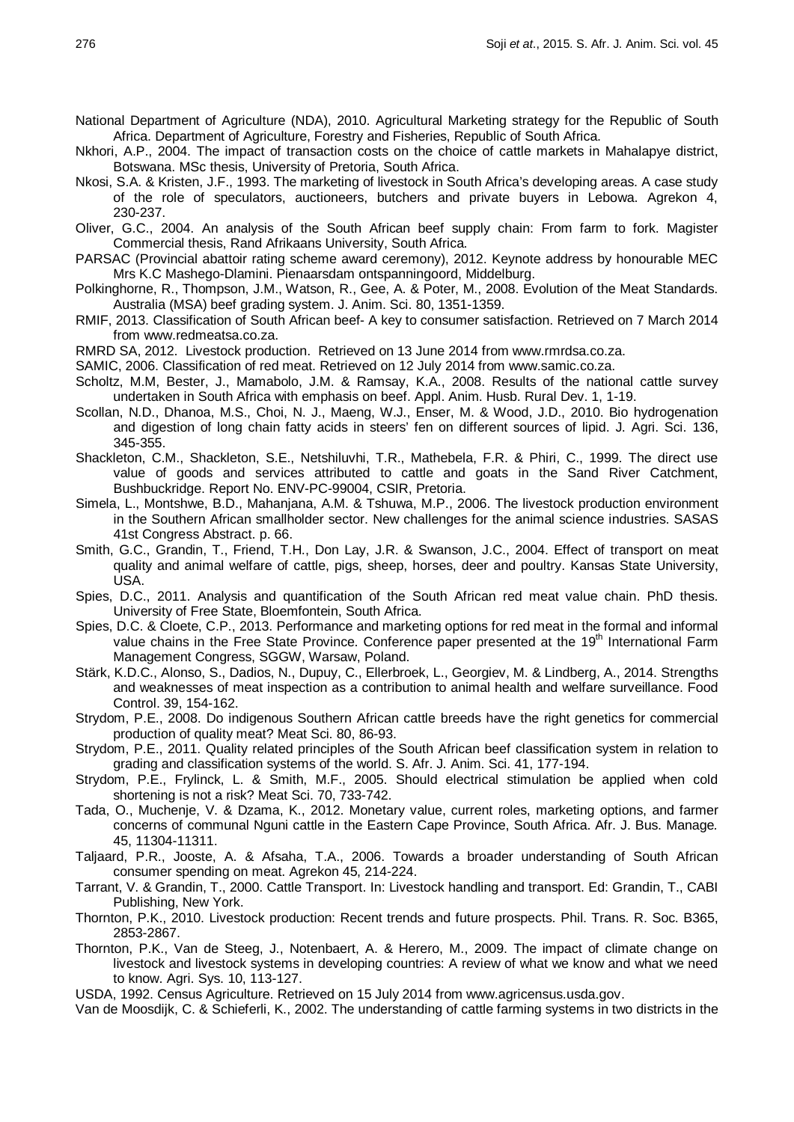- National Department of Agriculture (NDA), 2010. Agricultural Marketing strategy for the Republic of South Africa. Department of Agriculture, Forestry and Fisheries, Republic of South Africa.
- Nkhori, A.P., 2004. The impact of transaction costs on the choice of cattle markets in Mahalapye district, Botswana. MSc thesis, University of Pretoria, South Africa.
- Nkosi, S.A. & Kristen, J.F., 1993. The marketing of livestock in South Africa's developing areas. A case study of the role of speculators, auctioneers, butchers and private buyers in Lebowa. Agrekon 4, 230-237.
- Oliver, G.C., 2004. An analysis of the South African beef supply chain: From farm to fork. Magister Commercial thesis, Rand Afrikaans University, South Africa.
- PARSAC (Provincial abattoir rating scheme award ceremony), 2012. Keynote address by honourable MEC Mrs K.C Mashego-Dlamini. Pienaarsdam ontspanningoord, Middelburg.
- Polkinghorne, R., Thompson, J.M., Watson, R., Gee, A. & Poter, M., 2008. Evolution of the Meat Standards. Australia (MSA) beef grading system. J. Anim. Sci. 80, 1351-1359.
- RMIF, 2013. Classification of South African beef- A key to consumer satisfaction. Retrieved on 7 March 2014 from [www.redmeatsa.co.za.](http://www.redmeatsa.co.za/)
- RMRD SA, 2012. Livestock production. Retrieved on 13 June 2014 from www.rmrdsa.co.za.
- SAMIC, 2006. Classification of red meat. Retrieved on 12 July 2014 from www.samic.co.za.
- Scholtz, M.M, Bester, J., Mamabolo, J.M. & Ramsay, K.A., 2008. Results of the national cattle survey undertaken in South Africa with emphasis on beef. Appl. Anim. Husb. Rural Dev. 1, 1-19.
- Scollan, N.D., Dhanoa, M.S., Choi, N. J., Maeng, W.J., Enser, M. & Wood, J.D., 2010. Bio hydrogenation and digestion of long chain fatty acids in steers' fen on different sources of lipid. J. Agri. Sci. 136, 345-355.
- Shackleton, C.M., Shackleton, S.E., Netshiluvhi, T.R., Mathebela, F.R. & Phiri, C., 1999. The direct use value of goods and services attributed to cattle and goats in the Sand River Catchment, Bushbuckridge. Report No. ENV-PC-99004, CSIR, Pretoria.
- Simela, L., Montshwe, B.D., Mahanjana, A.M. & Tshuwa, M.P., 2006. The livestock production environment in the Southern African smallholder sector. New challenges for the animal science industries. SASAS 41st Congress Abstract. p. 66.
- Smith, G.C., Grandin, T., Friend, T.H., Don Lay, J.R. & Swanson, J.C., 2004. Effect of transport on meat quality and animal welfare of cattle, pigs, sheep, horses, deer and poultry. Kansas State University, USA.
- Spies, D.C., 2011. Analysis and quantification of the South African red meat value chain. PhD thesis. University of Free State, Bloemfontein, South Africa.
- Spies, D.C. & Cloete, C.P., 2013. Performance and marketing options for red meat in the formal and informal value chains in the Free State Province. Conference paper presented at the 19<sup>th</sup> International Farm Management Congress, SGGW, Warsaw, Poland.
- Stärk, K.D.C., Alonso, S., Dadios, N., Dupuy, C., Ellerbroek, L., Georgiev, M. & Lindberg, A., 2014. Strengths and weaknesses of meat inspection as a contribution to animal health and welfare surveillance. Food Control. 39, 154-162.
- Strydom, P.E., 2008. Do indigenous Southern African cattle breeds have the right genetics for commercial production of quality meat? Meat Sci. 80, 86-93.
- Strydom, P.E., 2011. Quality related principles of the South African beef classification system in relation to grading and classification systems of the world. S. Afr. J*.* Anim. Sci. 41, 177-194.
- Strydom, P.E., Frylinck, L. & Smith, M.F., 2005. Should electrical stimulation be applied when cold shortening is not a risk? Meat Sci. 70, 733-742.
- Tada, O., Muchenje, V. & Dzama, K., 2012. Monetary value, current roles, marketing options, and farmer concerns of communal Nguni cattle in the Eastern Cape Province, South Africa. Afr. J. Bus. Manage*.* 45, 11304-11311.
- Taljaard, P.R., Jooste, A. & Afsaha, T.A., 2006. Towards a broader understanding of South African consumer spending on meat. Agrekon 45, 214-224.
- Tarrant, V. & Grandin, T., 2000. Cattle Transport. In: Livestock handling and transport. Ed: Grandin, T., CABI Publishing, New York.
- Thornton, P.K., 2010. Livestock production: Recent trends and future prospects. Phil. Trans. R. Soc. B365, 2853-2867.
- Thornton, P.K., Van de Steeg, J., Notenbaert, A. & Herero, M., 2009. The impact of climate change on livestock and livestock systems in developing countries: A review of what we know and what we need to know. Agri. Sys. 10, 113-127.
- USDA, 1992. Census Agriculture. Retrieved on 15 July 2014 from [www.agricensus.usda.gov.](http://www.agricensus.usda.gov/)
- Van de Moosdijk, C. & Schieferli, K., 2002. The understanding of cattle farming systems in two districts in the